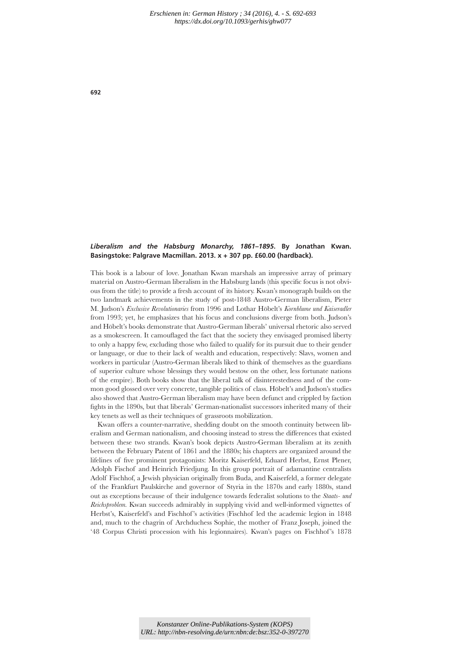## *Liberalism and the Habsburg Monarchy, 1861–1895***. By Jonathan Kwan. Basingstoke: Palgrave Macmillan. 2013. x + 307 pp. £60.00 (hardback).**

This book is a labour of love. Jonathan Kwan marshals an impressive array of primary material on Austro-German liberalism in the Habsburg lands (this specific focus is not obvious from the title) to provide a fresh account of its history. Kwan's monograph builds on the two landmark achievements in the study of post-1848 Austro-German liberalism, Pieter M. Judson's *Exclusive Revolutionaries* from 1996 and Lothar Höbelt's *Kornblume und Kaiseradler* from 1993; yet, he emphasizes that his focus and conclusions diverge from both. Judson's and Höbelt's books demonstrate that Austro-German liberals' universal rhetoric also served as a smokescreen. It camouflaged the fact that the society they envisaged promised liberty to only a happy few, excluding those who failed to qualify for its pursuit due to their gender or language, or due to their lack of wealth and education, respectively: Slavs, women and workers in particular (Austro-German liberals liked to think of themselves as the guardians of superior culture whose blessings they would bestow on the other, less fortunate nations of the empire). Both books show that the liberal talk of disinterestedness and of the common good glossed over very concrete, tangible politics of class. Höbelt's and Judson's studies also showed that Austro-German liberalism may have been defunct and crippled by faction fights in the 1890s, but that liberals' German-nationalist successors inherited many of their key tenets as well as their techniques of grassroots mobilization.

Kwan offers a counter-narrative, shedding doubt on the smooth continuity between liberalism and German nationalism, and choosing instead to stress the differences that existed between these two strands. Kwan's book depicts Austro-German liberalism at its zenith between the February Patent of 1861 and the 1880s; his chapters are organized around the lifelines of five prominent protagonists: Moritz Kaiserfeld, Eduard Herbst, Ernst Plener, Adolph Fischof and Heinrich Friedjung. In this group portrait of adamantine centralists Adolf Fischhof, a Jewish physician originally from Buda, and Kaiserfeld, a former delegate of the Frankfurt Paulskirche and governor of Styria in the 1870s and early 1880s, stand out as exceptions because of their indulgence towards federalist solutions to the *Staats- und Reichsproblem.* Kwan succeeds admirably in supplying vivid and well-informed vignettes of Herbst's, Kaiserfeld's and Fischhof's activities (Fischhof led the academic legion in 1848 and, much to the chagrin of Archduchess Sophie, the mother of Franz Joseph, joined the '48 Corpus Christi procession with his legionnaires). Kwan's pages on Fischhof 's 1878

**692**